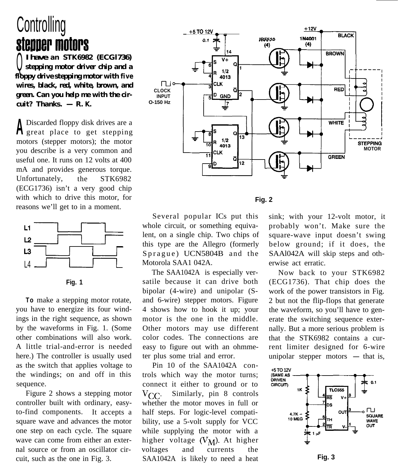## **Controlling** stepper motors

<sup>Q</sup> *I have an STK6982 (ECGl736) stepping motor driver chip and a floppy drive stepping motor with five wires, black, red, white, brown, and green. Can you help me with the cir-* $\textit{cuit?}$  Thanks.  $- R. K$ .

**<sup>A</sup>** Discarded floppy disk drives are a great place to get stepping motors (stepper motors); the motor you describe is a very common and useful one. It runs on 12 volts at 400 mA and provides generous torque. Unfortunately, the STK6982 (ECG1736) isn't a very good chip with which to drive this motor, for reasons we'll get to in a moment. **CONSECTED CONTRACT CONTRACT SET AND AN INCREDIBAT CONTRACT Supply dives tepping motor diver chip and<br>ppy divestepping motor diver chip and<br>ppy divestepping motor with the comparation. Can you help me with the exercise of** 



**To** make a stepping motor rotate, you have to energize its four windings in the right sequence, as shown by the waveforms in Fig. 1. (Some other combinations will also work. A little trial-and-error is needed here.) The controller is usually used as the switch that applies voltage to the windings; on and off in this sequence.

Figure 2 shows a stepping motor controller built with ordinary, easyto-find components. It accepts a square wave and advances the motor one step on each cycle. The square wave can come from either an external source or from an oscillator circuit, such as the one in Fig. 3.



**Fig. 2**

Several popular ICs put this whole circuit, or something equivalent, on a single chip. Two chips of this type are the Allegro (formerly Sprague) UCN5804B and the Motorola SAA1 042A.

The SAA1042A is especially versatile because it can drive both bipolar (4-wire) and unipolar (Sand 6-wire) stepper motors. Figure 4 shows how to hook it up; your motor is the one in the middle. Other motors may use different color codes. The connections are easy to figure out with an ohmmeter plus some trial and error.

Pin 10 of the SAA1042A controls which way the motor turns; connect it either to ground or to  $V_{CC}$ . Similarly, pin 8 controls whether the motor moves in full or half steps. For logic-level compatibility, use a 5-volt supply for VCC while supplying the motor with a higher voltage  $(V_M)$ . At higher voltages and currents the SAA1042A is likely to need a heat sink; with your 12-volt motor, it probably won't. Make sure the square-wave input doesn't swing below ground; if it does, the SAAl042A will skip steps and otherwise act erratic.

Now back to your STK6982 (ECG1736). That chip does the work of the power transistors in Fig. 2 but not the flip-flops that generate the waveform, so you'll have to generate the switching sequence externally. But a more serious problem is that the STK6982 contains a current limiter designed for 6-wire<br>unipolar stepper motors — that is,



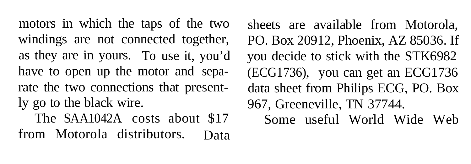windings are not connected together, PO. Box 20912, Phoenix, AZ 85036. If as they are in yours. To use it, you'd you decide to stick with the STK6982 have to open up the motor and sepa- (ECG1736), you can get an ECG1736 rate the two connections that present- data sheet from Philips ECG, PO. Box ly go to the black wire. 967, Greeneville, TN 37744. from Motorola distributors. Data

motors in which the taps of the two sheets are available from Motorola, The SAA1042A costs about \$17 Some useful World Wide Web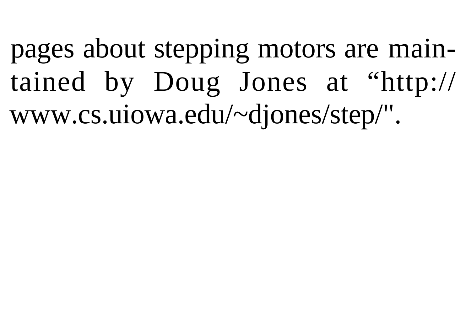pages about stepping motors are maintained by Doug Jones at "http:// www.cs.uiowa.edu/~djones/step/".